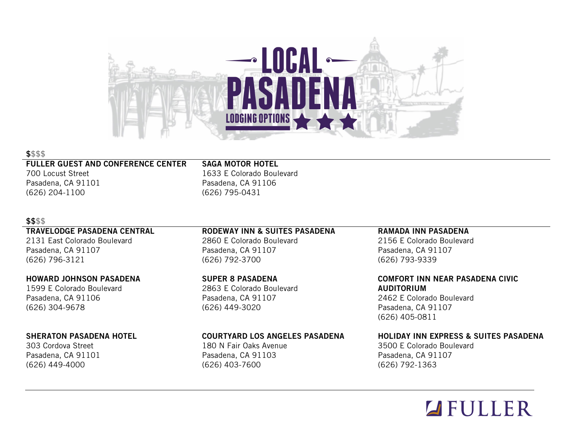

#### \$\$\$\$

#### FULLER GUEST AND CONFERENCE CENTER

700 Locust Street Pasadena, CA 91101 (626) 204-1100

SAGA MOTOR HOTEL 1633 E Colorado Boulevard Pasadena, CA 91106 (626) 795-0431

#### \$\$\$\$

#### TRAVELODGE PASADENA CENTRAL

2131 East Colorado Boulevard Pasadena, CA 91107 (626) 796-3121

### HOWARD JOHNSON PASADENA

1599 E Colorado Boulevard Pasadena, CA 91106 (626) 304-9678

### SHERATON PASADENA HOTEL

303 Cordova Street Pasadena, CA 91101 (626) 449-4000

## RODEWAY INN & SUITES PASADENA

2860 E Colorado Boulevard Pasadena, CA 91107 (626) 792-3700

SUPER 8 PASADENA 2863 E Colorado Boulevard Pasadena, CA 91107 (626) 449-3020

### COURTYARD LOS ANGELES PASADENA

180 N Fair Oaks Avenue Pasadena, CA 91103 (626) 403-7600

#### RAMADA INN PASADENA

2156 E Colorado Boulevard Pasadena, CA 91107 (626) 793-9339

#### COMFORT INN NEAR PASADENA CIVIC AUDITORIUM

2462 E Colorado Boulevard Pasadena, CA 91107 (626) 405-0811

### HOLIDAY INN EXPRESS & SUITES PASADENA

3500 E Colorado Boulevard Pasadena, CA 91107 (626) 792-1363